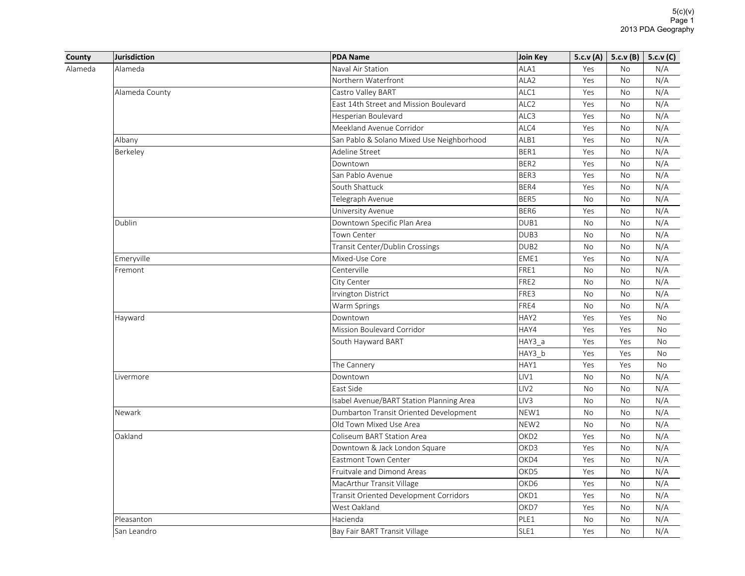| County  | Jurisdiction   | <b>PDA Name</b>                           | Join Key         |           | 5.c.v (A)   5.c.v (B) | 5.c.v(C)  |
|---------|----------------|-------------------------------------------|------------------|-----------|-----------------------|-----------|
| Alameda | Alameda        | Naval Air Station                         | ALA1             | Yes       | No                    | N/A       |
|         |                | Northern Waterfront                       | ALA <sub>2</sub> | Yes       | No                    | N/A       |
|         | Alameda County | Castro Valley BART                        | ALC1             | Yes       | <b>No</b>             | N/A       |
|         |                | East 14th Street and Mission Boulevard    | ALC <sub>2</sub> | Yes       | No                    | N/A       |
|         |                | Hesperian Boulevard                       | ALC3             | Yes       | No                    | N/A       |
|         |                | Meekland Avenue Corridor                  | ALC4             | Yes       | <b>No</b>             | N/A       |
|         | Albany         | San Pablo & Solano Mixed Use Neighborhood | ALB1             | Yes       | No                    | N/A       |
|         | Berkeley       | Adeline Street                            | BER1             | Yes       | <b>No</b>             | N/A       |
|         |                | Downtown                                  | BER2             | Yes       | No                    | N/A       |
|         |                | San Pablo Avenue                          | BER3             | Yes       | <b>No</b>             | N/A       |
|         |                | South Shattuck                            | BER4             | Yes       | <b>No</b>             | N/A       |
|         |                | Telegraph Avenue                          | BER5             | No        | No                    | N/A       |
|         |                | University Avenue                         | BER6             | Yes       | No                    | N/A       |
|         | Dublin         | Downtown Specific Plan Area               | DUB1             | No        | <b>No</b>             | N/A       |
|         |                | Town Center                               | DUB3             | No        | No                    | N/A       |
|         |                | Transit Center/Dublin Crossings           | DUB <sub>2</sub> | No        | No                    | N/A       |
|         | Emeryville     | Mixed-Use Core                            | EME1             | Yes       | No                    | N/A       |
|         | Fremont        | Centerville                               | FRE1             | <b>No</b> | <b>No</b>             | N/A       |
|         |                | City Center                               | FRE2             | <b>No</b> | <b>No</b>             | N/A       |
|         |                | Irvington District                        | FRE3             | No        | No                    | N/A       |
|         |                | Warm Springs                              | FRE4             | No        | No                    | N/A       |
|         | Hayward        | Downtown                                  | HAY2             | Yes       | Yes                   | <b>No</b> |
|         |                | Mission Boulevard Corridor                | HAY4             | Yes       | Yes                   | <b>No</b> |
|         |                | South Hayward BART                        | HAY3 a           | Yes       | Yes                   | No        |
|         |                |                                           | HAY3 b           | Yes       | Yes                   | No        |
|         |                | The Cannery                               | HAY1             | Yes       | Yes                   | <b>No</b> |
|         | Livermore      | Downtown                                  | LIV1             | <b>No</b> | <b>No</b>             | N/A       |
|         |                | East Side                                 | LIV <sub>2</sub> | No        | No                    | N/A       |
|         |                | Isabel Avenue/BART Station Planning Area  | LIV <sub>3</sub> | <b>No</b> | No                    | N/A       |
|         | Newark         | Dumbarton Transit Oriented Development    | NEW1             | No        | <b>No</b>             | N/A       |
|         |                | Old Town Mixed Use Area                   | NEW <sub>2</sub> | <b>No</b> | <b>No</b>             | N/A       |
|         | Oakland        | Coliseum BART Station Area                | OKD <sub>2</sub> | Yes       | No                    | N/A       |
|         |                | Downtown & Jack London Square             | OKD3             | Yes       | No                    | N/A       |
|         |                | <b>Eastmont Town Center</b>               | OKD4             | Yes       | <b>No</b>             | N/A       |
|         |                | Fruitvale and Dimond Areas                | OKD5             | Yes       | No                    | N/A       |
|         |                | MacArthur Transit Village                 | OKD6             | Yes       | <b>No</b>             | N/A       |
|         |                | Transit Oriented Development Corridors    | OKD1             | Yes       | No                    | N/A       |
|         |                | West Oakland                              | OKD7             | Yes       | No                    | N/A       |
|         | Pleasanton     | Hacienda                                  | PLE1             | <b>No</b> | <b>No</b>             | N/A       |
|         | San Leandro    | Bay Fair BART Transit Village             | SLE1             | Yes       | <b>No</b>             | N/A       |
|         |                |                                           |                  |           |                       |           |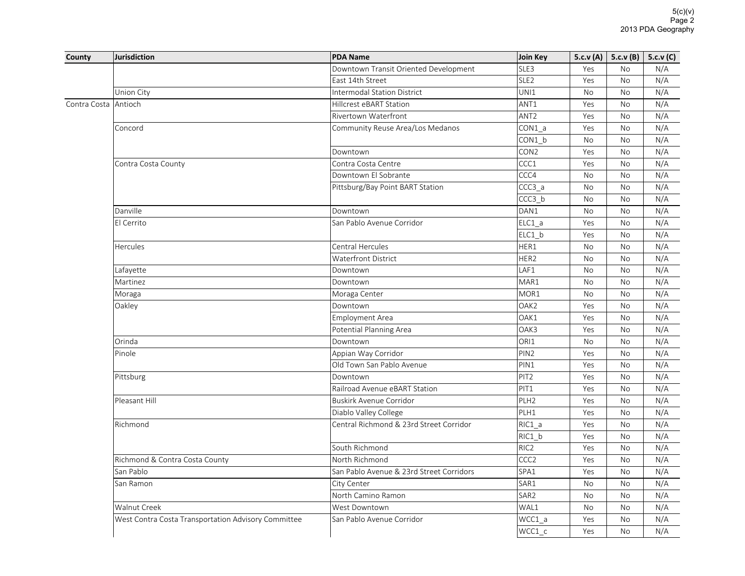| County       | <b>Jurisdiction</b>                                 | <b>PDA Name</b>                          | Join Key          | 5.c.v $(A)$ | 5.c.v(B)  | 5.c.v(C) |
|--------------|-----------------------------------------------------|------------------------------------------|-------------------|-------------|-----------|----------|
|              |                                                     | Downtown Transit Oriented Development    | SLE3              | Yes         | <b>No</b> | N/A      |
|              |                                                     | East 14th Street                         | SLE <sub>2</sub>  | Yes         | <b>No</b> | N/A      |
|              | Union City                                          | <b>Intermodal Station District</b>       | UNI1              | <b>No</b>   | <b>No</b> | N/A      |
| Contra Costa | Antioch                                             | <b>Hillcrest eBART Station</b>           | ANT1              | Yes         | <b>No</b> | N/A      |
|              |                                                     | Rivertown Waterfront                     | ANT <sub>2</sub>  | Yes         | No        | N/A      |
|              | Concord                                             | Community Reuse Area/Los Medanos         | CON1 a            | Yes         | <b>No</b> | N/A      |
|              |                                                     |                                          | CON1 b            | No          | <b>No</b> | N/A      |
|              |                                                     | Downtown                                 | CON <sub>2</sub>  | Yes         | <b>No</b> | N/A      |
|              | Contra Costa County                                 | Contra Costa Centre                      | CCC1              | Yes         | <b>No</b> | N/A      |
|              |                                                     | Downtown El Sobrante                     | CCC4              | <b>No</b>   | No        | N/A      |
|              |                                                     | Pittsburg/Bay Point BART Station         | CCC3 <sub>a</sub> | No          | <b>No</b> | N/A      |
|              |                                                     |                                          | CCC3 b            | <b>No</b>   | No        | N/A      |
|              | Danville                                            | Downtown                                 | DAN1              | <b>No</b>   | <b>No</b> | N/A      |
|              | El Cerrito                                          | San Pablo Avenue Corridor                | ELC1 a            | Yes         | <b>No</b> | N/A      |
|              |                                                     |                                          | $ELC1_b$          | Yes         | <b>No</b> | N/A      |
|              | <b>Hercules</b>                                     | <b>Central Hercules</b>                  | HER1              | <b>No</b>   | <b>No</b> | N/A      |
|              |                                                     | <b>Waterfront District</b>               | HER2              | <b>No</b>   | <b>No</b> | N/A      |
|              | Lafayette                                           | Downtown                                 | LAF1              | No          | No        | N/A      |
|              | Martinez                                            | Downtown                                 | MAR1              | <b>No</b>   | <b>No</b> | N/A      |
|              | Moraga                                              | Moraga Center                            | MOR1              | No          | No        | N/A      |
|              | Oakley                                              | Downtown                                 | OAK <sub>2</sub>  | Yes         | <b>No</b> | N/A      |
|              |                                                     | <b>Employment Area</b>                   | OAK1              | Yes         | <b>No</b> | N/A      |
|              |                                                     | Potential Planning Area                  | OAK3              | Yes         | <b>No</b> | N/A      |
|              | Orinda                                              | Downtown                                 | ORI1              | <b>No</b>   | <b>No</b> | N/A      |
|              | Pinole                                              | Appian Way Corridor                      | PIN <sub>2</sub>  | Yes         | <b>No</b> | N/A      |
|              |                                                     | Old Town San Pablo Avenue                | PIN1              | Yes         | <b>No</b> | N/A      |
|              | Pittsburg                                           | Downtown                                 | PIT <sub>2</sub>  | Yes         | No        | N/A      |
|              |                                                     | Railroad Avenue eBART Station            | PIT1              | Yes         | No        | N/A      |
|              | Pleasant Hill                                       | <b>Buskirk Avenue Corridor</b>           | PLH <sub>2</sub>  | Yes         | <b>No</b> | N/A      |
|              |                                                     | Diablo Valley College                    | PLH1              | Yes         | <b>No</b> | N/A      |
|              | Richmond                                            | Central Richmond & 23rd Street Corridor  | $RIC1_a$          | Yes         | No        | N/A      |
|              |                                                     |                                          | RIC1_b            | Yes         | No        | N/A      |
|              |                                                     | South Richmond                           | RIC <sub>2</sub>  | Yes         | No        | N/A      |
|              | Richmond & Contra Costa County                      | North Richmond                           | CCC <sub>2</sub>  | Yes         | <b>No</b> | N/A      |
|              | San Pablo                                           | San Pablo Avenue & 23rd Street Corridors | SPA1              | Yes         | No        | N/A      |
|              | San Ramon                                           | City Center                              | SAR1              | No          | No        | N/A      |
|              |                                                     | North Camino Ramon                       | SAR <sub>2</sub>  | <b>No</b>   | <b>No</b> | N/A      |
|              | Walnut Creek                                        | West Downtown                            | WAL1              | <b>No</b>   | <b>No</b> | N/A      |
|              | West Contra Costa Transportation Advisory Committee | San Pablo Avenue Corridor                | WCC1_a            | Yes         | <b>No</b> | N/A      |
|              |                                                     |                                          | WCC1 c            | Yes         | <b>No</b> | N/A      |
|              |                                                     |                                          |                   |             |           |          |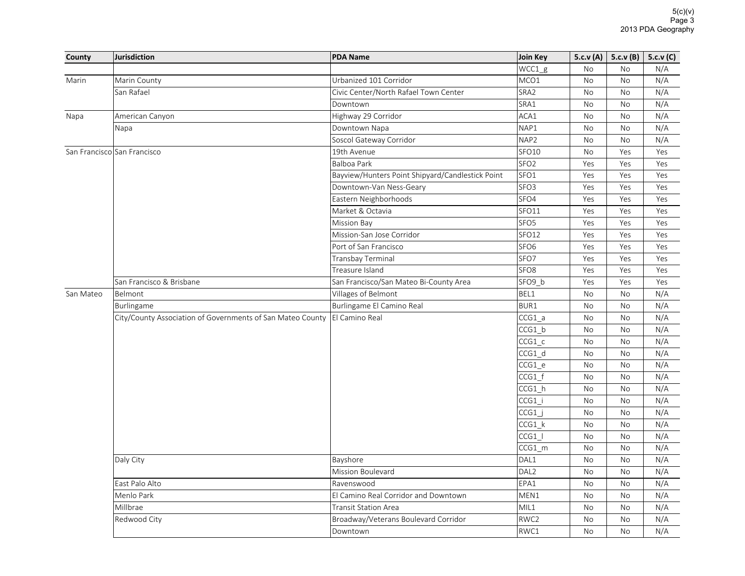| County    | Jurisdiction                                               | <b>PDA Name</b>                                  | Join Key           |                                                                                                                                          |                                                                                                                                                                                                                                                   | 5.c.v(C) |
|-----------|------------------------------------------------------------|--------------------------------------------------|--------------------|------------------------------------------------------------------------------------------------------------------------------------------|---------------------------------------------------------------------------------------------------------------------------------------------------------------------------------------------------------------------------------------------------|----------|
|           |                                                            |                                                  | $WCC1_g$           | No                                                                                                                                       | No                                                                                                                                                                                                                                                | N/A      |
| Marin     | Marin County                                               | Urbanized 101 Corridor                           | MCO1               | No                                                                                                                                       | No                                                                                                                                                                                                                                                | N/A      |
|           | San Rafael                                                 | Civic Center/North Rafael Town Center            | SRA2               | No                                                                                                                                       | No                                                                                                                                                                                                                                                | N/A      |
|           |                                                            | Downtown                                         | SRA1               | No                                                                                                                                       | No                                                                                                                                                                                                                                                | N/A      |
| Napa      | American Canyon                                            | Highway 29 Corridor                              | ACA1               | No                                                                                                                                       | No                                                                                                                                                                                                                                                | N/A      |
|           | Napa                                                       | Downtown Napa                                    | NAP1               | No                                                                                                                                       | <b>No</b>                                                                                                                                                                                                                                         | N/A      |
|           |                                                            | Soscol Gateway Corridor                          | NAP2               | No                                                                                                                                       | 5.c.v (A)   5.c.v (B)  <br>No<br>Yes<br>Yes<br>Yes<br>Yes<br>Yes<br>Yes<br>Yes<br>Yes<br>Yes<br>Yes<br>Yes<br>Yes<br>No<br>No<br>No<br><b>No</b><br>No<br>No<br>No<br><b>No</b><br>No<br>No<br>No<br>No<br>No<br>No<br>No<br>No<br>No<br>No<br>No | N/A      |
|           | San Francisco San Francisco                                | 19th Avenue                                      | SFO <sub>10</sub>  | No                                                                                                                                       |                                                                                                                                                                                                                                                   | Yes      |
|           |                                                            | <b>Balboa Park</b>                               | SFO <sub>2</sub>   | Yes                                                                                                                                      |                                                                                                                                                                                                                                                   | Yes      |
|           |                                                            | Bayview/Hunters Point Shipyard/Candlestick Point | SFO <sub>1</sub>   | Yes                                                                                                                                      |                                                                                                                                                                                                                                                   | Yes      |
|           |                                                            | Downtown-Van Ness-Geary                          | SFO <sub>3</sub>   | Yes                                                                                                                                      |                                                                                                                                                                                                                                                   | Yes      |
|           |                                                            | Eastern Neighborhoods                            | SFO <sub>4</sub>   | Yes                                                                                                                                      |                                                                                                                                                                                                                                                   | Yes      |
|           |                                                            | Market & Octavia                                 | SFO <sub>11</sub>  | Yes                                                                                                                                      |                                                                                                                                                                                                                                                   | Yes      |
|           |                                                            | <b>Mission Bay</b>                               | SFO <sub>5</sub>   | Yes                                                                                                                                      |                                                                                                                                                                                                                                                   | Yes      |
|           |                                                            | Mission-San Jose Corridor                        | SFO <sub>12</sub>  | Yes                                                                                                                                      |                                                                                                                                                                                                                                                   | Yes      |
|           |                                                            | Port of San Francisco                            | SFO <sub>6</sub>   | Yes                                                                                                                                      |                                                                                                                                                                                                                                                   | Yes      |
|           |                                                            | Transbay Terminal                                | SFO7               | Yes                                                                                                                                      |                                                                                                                                                                                                                                                   | Yes      |
|           |                                                            | Treasure Island                                  | SFO <sub>8</sub>   | Yes                                                                                                                                      |                                                                                                                                                                                                                                                   | Yes      |
|           | San Francisco & Brisbane                                   | San Francisco/San Mateo Bi-County Area           | SFO <sub>9</sub> b | Yes                                                                                                                                      |                                                                                                                                                                                                                                                   | Yes      |
| San Mateo | Belmont                                                    | Villages of Belmont                              | BEL1               | No                                                                                                                                       |                                                                                                                                                                                                                                                   | N/A      |
|           | Burlingame                                                 | Burlingame El Camino Real                        | BUR1               | No                                                                                                                                       |                                                                                                                                                                                                                                                   | N/A      |
|           | City/County Association of Governments of San Mateo County | El Camino Real                                   | CCG1 a             | No<br><b>No</b><br>No<br>No<br>No<br>No<br>No<br>No<br>No<br>No<br>No<br>No<br>No<br>No<br>No<br>No<br>No<br>No<br>No<br><b>No</b><br>No |                                                                                                                                                                                                                                                   | N/A      |
|           |                                                            |                                                  | $CCG1_b$           |                                                                                                                                          |                                                                                                                                                                                                                                                   | N/A      |
|           |                                                            |                                                  | CCG1 c             |                                                                                                                                          |                                                                                                                                                                                                                                                   | N/A      |
|           |                                                            |                                                  | CCG1 d             |                                                                                                                                          |                                                                                                                                                                                                                                                   | N/A      |
|           |                                                            |                                                  | $CCG1_e$           |                                                                                                                                          |                                                                                                                                                                                                                                                   | N/A      |
|           |                                                            |                                                  | CCG1 f             |                                                                                                                                          |                                                                                                                                                                                                                                                   | N/A      |
|           |                                                            |                                                  | $CCG1_h$           |                                                                                                                                          |                                                                                                                                                                                                                                                   | N/A      |
|           |                                                            |                                                  | CCG1 i             |                                                                                                                                          |                                                                                                                                                                                                                                                   | N/A      |
|           |                                                            |                                                  | $CCG1$ j           |                                                                                                                                          |                                                                                                                                                                                                                                                   | N/A      |
|           |                                                            |                                                  | $CCG1_k$           |                                                                                                                                          |                                                                                                                                                                                                                                                   | N/A      |
|           |                                                            |                                                  | $CCG1$             |                                                                                                                                          |                                                                                                                                                                                                                                                   | N/A      |
|           |                                                            |                                                  | $CCG1$ _m          |                                                                                                                                          |                                                                                                                                                                                                                                                   | N/A      |
|           | Daly City                                                  | Bayshore                                         | DAL1               |                                                                                                                                          |                                                                                                                                                                                                                                                   | N/A      |
|           |                                                            | Mission Boulevard                                | DAL <sub>2</sub>   |                                                                                                                                          |                                                                                                                                                                                                                                                   | N/A      |
|           | East Palo Alto                                             | Ravenswood                                       | EPA1               |                                                                                                                                          |                                                                                                                                                                                                                                                   | N/A      |
|           | Menlo Park                                                 | El Camino Real Corridor and Downtown             | MEN1               |                                                                                                                                          |                                                                                                                                                                                                                                                   | N/A      |
|           | Millbrae                                                   | <b>Transit Station Area</b>                      | MIL1               |                                                                                                                                          |                                                                                                                                                                                                                                                   | N/A      |
|           | Redwood City                                               | Broadway/Veterans Boulevard Corridor             | RWC2               |                                                                                                                                          |                                                                                                                                                                                                                                                   | N/A      |
|           |                                                            | Downtown                                         | RWC1               |                                                                                                                                          |                                                                                                                                                                                                                                                   | N/A      |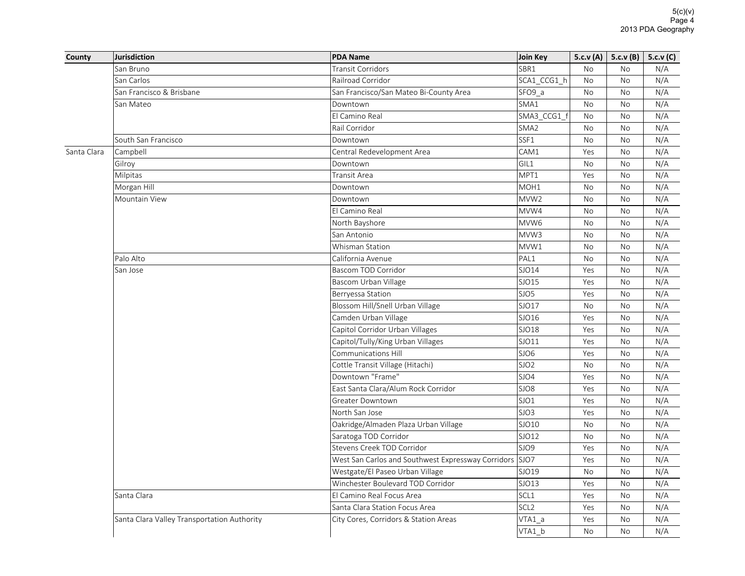| County      | <b>Jurisdiction</b>                         | <b>PDA Name</b>                                    | Join Key         |           | 5.c.v (A)   5.c.v (B)                                                                                                                                                       | 5.c.v(C) |
|-------------|---------------------------------------------|----------------------------------------------------|------------------|-----------|-----------------------------------------------------------------------------------------------------------------------------------------------------------------------------|----------|
|             | San Bruno                                   | <b>Transit Corridors</b>                           | SBR1             | <b>No</b> | <b>No</b>                                                                                                                                                                   | N/A      |
|             | San Carlos                                  | Railroad Corridor                                  | SCA1 CCG1 h      | No        | No                                                                                                                                                                          | N/A      |
|             | San Francisco & Brisbane                    | San Francisco/San Mateo Bi-County Area             | SFO9 a           | No        | No                                                                                                                                                                          | N/A      |
|             | San Mateo                                   | Downtown                                           | SMA1             | No        | <b>No</b>                                                                                                                                                                   | N/A      |
|             |                                             | El Camino Real                                     | SMA3_CCG1_f      | No        | No                                                                                                                                                                          | N/A      |
|             |                                             | Rail Corridor                                      | SMA <sub>2</sub> | <b>No</b> | <b>No</b>                                                                                                                                                                   | N/A      |
|             | South San Francisco                         | Downtown                                           | SSF1             | No        | No                                                                                                                                                                          | N/A      |
| Santa Clara | Campbell                                    | Central Redevelopment Area                         | CAM1             | Yes       | <b>No</b>                                                                                                                                                                   | N/A      |
|             | Gilroy                                      | Downtown                                           | GIL1             | No        | No                                                                                                                                                                          | N/A      |
|             | Milpitas                                    | Transit Area                                       | MPT1             | Yes       | <b>No</b><br>No<br>No<br><b>No</b><br>No<br>No<br>No<br><b>No</b><br>No<br><b>No</b><br>No<br>No<br>No<br>No<br><b>No</b><br>No<br>No<br><b>No</b><br><b>No</b><br>No<br>No | N/A      |
|             | Morgan Hill                                 | Downtown                                           | MOH1             | No        |                                                                                                                                                                             | N/A      |
|             | Mountain View                               | Downtown                                           | MVW <sub>2</sub> | No        |                                                                                                                                                                             | N/A      |
|             |                                             | El Camino Real                                     | MVW4             | <b>No</b> |                                                                                                                                                                             | N/A      |
|             |                                             | North Bayshore                                     | MVW6             | No        |                                                                                                                                                                             | N/A      |
|             |                                             | San Antonio                                        | MVW3             | No        |                                                                                                                                                                             | N/A      |
|             |                                             | Whisman Station                                    | MVW1             | No        |                                                                                                                                                                             | N/A      |
|             | Palo Alto                                   | California Avenue                                  | PAL1             | <b>No</b> |                                                                                                                                                                             | N/A      |
|             | San Jose                                    | Bascom TOD Corridor                                | SJO14            | Yes       |                                                                                                                                                                             | N/A      |
|             |                                             | Bascom Urban Village                               | SJO15            | Yes       |                                                                                                                                                                             | N/A      |
|             |                                             | Berryessa Station                                  | SJO5             | Yes       |                                                                                                                                                                             | N/A      |
|             |                                             | Blossom Hill/Snell Urban Village                   | SJO17            | No        |                                                                                                                                                                             | N/A      |
|             |                                             | Camden Urban Village                               | SJO16            | Yes       |                                                                                                                                                                             | N/A      |
|             |                                             | Capitol Corridor Urban Villages                    | SJO18            | Yes       |                                                                                                                                                                             | N/A      |
|             |                                             | Capitol/Tully/King Urban Villages                  | SJO11            | Yes       |                                                                                                                                                                             | N/A      |
|             |                                             | Communications Hill                                | SJO6             | Yes       |                                                                                                                                                                             | N/A      |
|             |                                             | Cottle Transit Village (Hitachi)                   | SJO <sub>2</sub> | No        |                                                                                                                                                                             | N/A      |
|             |                                             | Downtown "Frame"                                   | SJO4             | Yes       |                                                                                                                                                                             | N/A      |
|             |                                             | East Santa Clara/Alum Rock Corridor                | SJO8             | Yes       |                                                                                                                                                                             | N/A      |
|             |                                             | Greater Downtown                                   | SJO1             | Yes       |                                                                                                                                                                             | N/A      |
|             |                                             | North San Jose                                     | SJO3             | Yes       |                                                                                                                                                                             | N/A      |
|             |                                             | Oakridge/Almaden Plaza Urban Village               | SJO10            | No        | No                                                                                                                                                                          | N/A      |
|             |                                             | Saratoga TOD Corridor                              | SJO12            | No        | No                                                                                                                                                                          | N/A      |
|             |                                             | Stevens Creek TOD Corridor                         | SJO9             | Yes       | <b>No</b>                                                                                                                                                                   | N/A      |
|             |                                             | West San Carlos and Southwest Expressway Corridors | SJO7             | Yes       | No                                                                                                                                                                          | N/A      |
|             |                                             | Westgate/El Paseo Urban Village                    | SJO19            | <b>No</b> | <b>No</b>                                                                                                                                                                   | N/A      |
|             |                                             | Winchester Boulevard TOD Corridor                  | SJO13            | Yes       | No                                                                                                                                                                          | N/A      |
|             | Santa Clara                                 | El Camino Real Focus Area                          | SCL1             | Yes       | No                                                                                                                                                                          | N/A      |
|             |                                             | Santa Clara Station Focus Area                     | SCL <sub>2</sub> | Yes       | No                                                                                                                                                                          | N/A      |
|             | Santa Clara Valley Transportation Authority | City Cores, Corridors & Station Areas              | $VTA1_a$         | Yes       | <b>No</b>                                                                                                                                                                   | N/A      |
|             |                                             |                                                    | VTA1 b           | <b>No</b> | <b>No</b>                                                                                                                                                                   | N/A      |